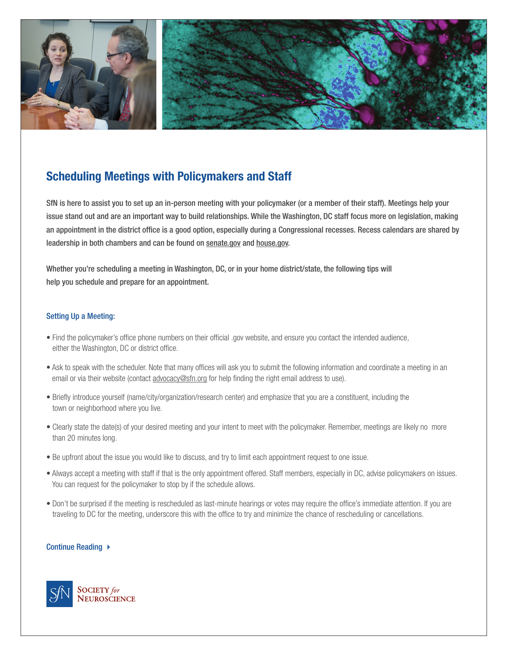

# **Scheduling Meetings with Policymakers and Staff**

SfN is here to assist you to set up an in-person meeting with your policymaker (or a member of their staff). Meetings help your issue stand out and are an important way to build relationships. While the Washington, DC staff focus more on legislation, making an appointment in the district office is a good option, especially during a Congressional recesses. Recess calendars are shared by leadership in both chambers and can be found on [senate.gov](http://senate.gov) and [house.gov](http://house.gov).

Whether you're scheduling a meeting in Washington, DC, or in your home district/state, the following tips will help you schedule and prepare for an appointment.

## Setting Up a Meeting:

- Find the policymaker's office phone numbers on their official .gov website, and ensure you contact the intended audience, either the Washington, DC or district office.
- Ask to speak with the scheduler. Note that many offices will ask you to submit the following information and coordinate a meeting in an email or via their website (contact [advocacy@sfn.org](mailto:advocacy%40sfn.org?subject=) for help finding the right email address to use).
- Briefly introduce yourself (name/city/organization/research center) and emphasize that you are a constituent, including the town or neighborhood where you live.
- Clearly state the date(s) of your desired meeting and your intent to meet with the policymaker. Remember, meetings are likely no more than 20 minutes long.
- Be upfront about the issue you would like to discuss, and try to limit each appointment request to one issue.
- Always accept a meeting with staff if that is the only appointment offered. Staff members, especially in DC, advise policymakers on issues. You can request for the policymaker to stop by if the schedule allows.
- Don't be surprised if the meeting is rescheduled as last-minute hearings or votes may require the office's immediate attention. If you are traveling to DC for the meeting, underscore this with the office to try and minimize the chance of rescheduling or cancellations.

## Continue Reading ▶